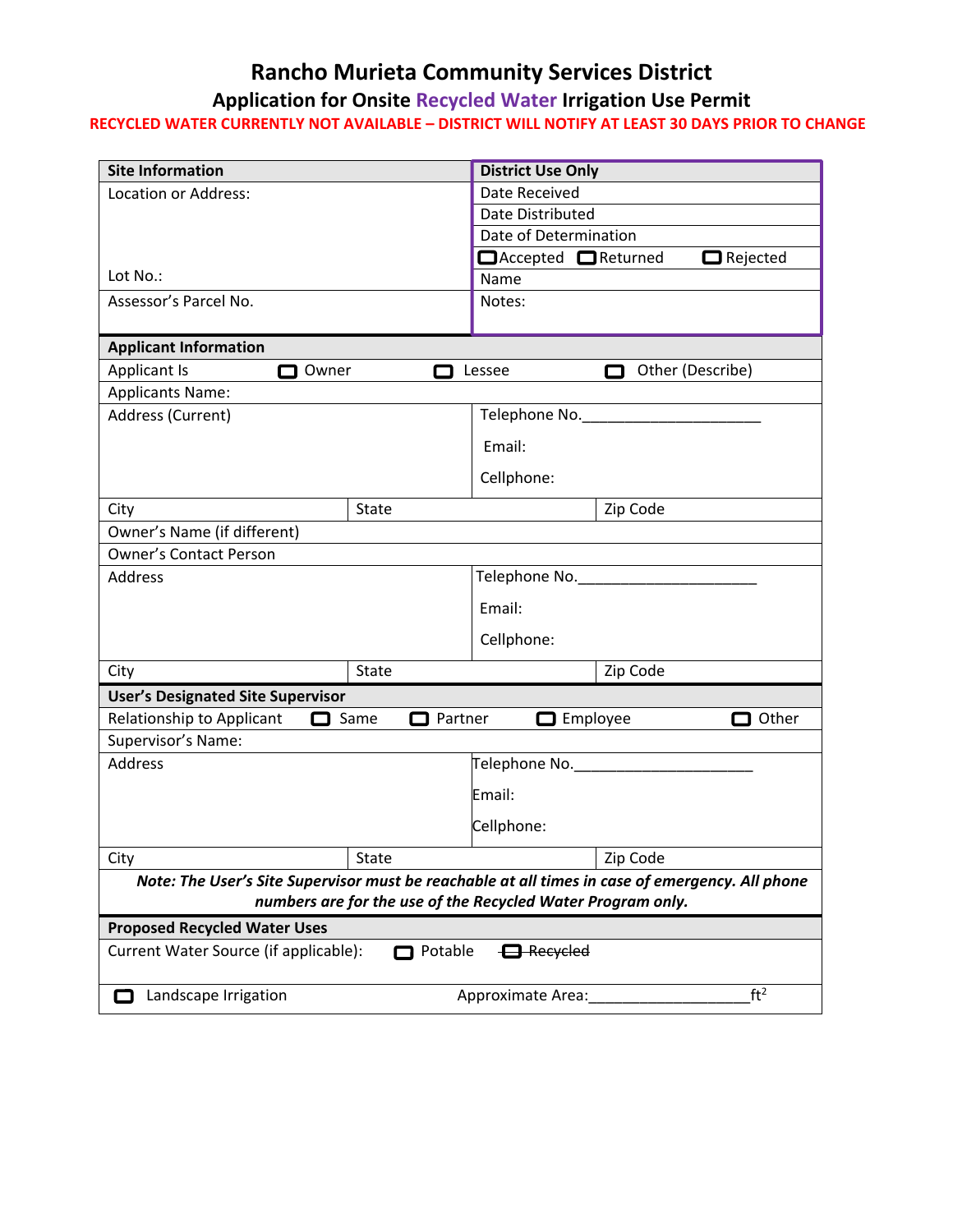## **Rancho Murieta Community Services District**

## **Application for Onsite Recycled Water Irrigation Use Permit**

## **RECYCLED WATER CURRENTLY NOT AVAILABLE – DISTRICT WILL NOTIFY AT LEAST 30 DAYS PRIOR TO CHANGE**

| <b>Site Information</b>                                                                         |                     | <b>District Use Only</b> |          |                  |  |
|-------------------------------------------------------------------------------------------------|---------------------|--------------------------|----------|------------------|--|
| Location or Address:                                                                            |                     | Date Received            |          |                  |  |
|                                                                                                 |                     | Date Distributed         |          |                  |  |
|                                                                                                 |                     | Date of Determination    |          |                  |  |
|                                                                                                 |                     | □ Accepted □ Returned    |          | $\Box$ Rejected  |  |
| Lot No.:                                                                                        |                     | Name                     |          |                  |  |
| Assessor's Parcel No.                                                                           |                     | Notes:                   |          |                  |  |
| <b>Applicant Information</b>                                                                    |                     |                          |          |                  |  |
| Applicant Is<br>Owner                                                                           |                     | Lessee                   |          | Other (Describe) |  |
| <b>Applicants Name:</b>                                                                         |                     |                          |          |                  |  |
| Address (Current)                                                                               |                     | Telephone No.            |          |                  |  |
|                                                                                                 |                     | Email:                   |          |                  |  |
|                                                                                                 |                     | Cellphone:               |          |                  |  |
| City                                                                                            | State               |                          | Zip Code |                  |  |
| Owner's Name (if different)                                                                     |                     |                          |          |                  |  |
| <b>Owner's Contact Person</b>                                                                   |                     |                          |          |                  |  |
| Address                                                                                         |                     | Telephone No.            |          |                  |  |
|                                                                                                 |                     | Email:                   |          |                  |  |
|                                                                                                 |                     | Cellphone:               |          |                  |  |
| City                                                                                            | State               |                          | Zip Code |                  |  |
| <b>User's Designated Site Supervisor</b>                                                        |                     |                          |          |                  |  |
| Relationship to Applicant<br>□                                                                  | Same<br>Partner     | $\Box$ Employee          |          | Other            |  |
| Supervisor's Name:                                                                              |                     |                          |          |                  |  |
| Address                                                                                         |                     | Telephone No.            |          |                  |  |
|                                                                                                 |                     | Email:                   |          |                  |  |
|                                                                                                 |                     | Cellphone:               |          |                  |  |
| City                                                                                            | $\overline{$ -State |                          | Zip Code |                  |  |
| Note: The User's Site Supervisor must be reachable at all times in case of emergency. All phone |                     |                          |          |                  |  |
| numbers are for the use of the Recycled Water Program only.                                     |                     |                          |          |                  |  |
| <b>Proposed Recycled Water Uses</b>                                                             |                     |                          |          |                  |  |
| Current Water Source (if applicable):<br>$\bigoplus$ Recycled<br>Potable                        |                     |                          |          |                  |  |
| Landscape Irrigation<br>$\Box$                                                                  |                     | Approximate Area:        |          | ft <sup>2</sup>  |  |